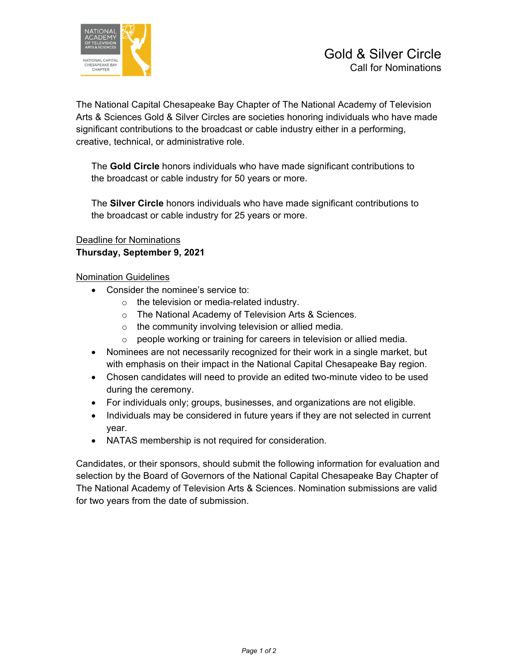

The National Capital Chesapeake Bay Chapter of The National Academy of Television Arts & Sciences Gold & Silver Circles are societies honoring individuals who have made significant contributions to the broadcast or cable industry either in a performing, creative, technical, or administrative role.

The **Gold Circle** honors individuals who have made significant contributions to the broadcast or cable industry for 50 years or more.

The **Silver Circle** honors individuals who have made significant contributions to the broadcast or cable industry for 25 years or more.

## Deadline for Nominations **Thursday, September 9, 2021**

## Nomination Guidelines

- Consider the nominee's service to:
	- o the television or media-related industry.
	- o The National Academy of Television Arts & Sciences.
	- o the community involving television or allied media.
	- $\circ$  people working or training for careers in television or allied media.
- Nominees are not necessarily recognized for their work in a single market, but with emphasis on their impact in the National Capital Chesapeake Bay region.
- Chosen candidates will need to provide an edited two-minute video to be used during the ceremony.
- For individuals only; groups, businesses, and organizations are not eligible.
- Individuals may be considered in future years if they are not selected in current year.
- NATAS membership is not required for consideration.

Candidates, or their sponsors, should submit the following information for evaluation and selection by the Board of Governors of the National Capital Chesapeake Bay Chapter of The National Academy of Television Arts & Sciences. Nomination submissions are valid for two years from the date of submission.